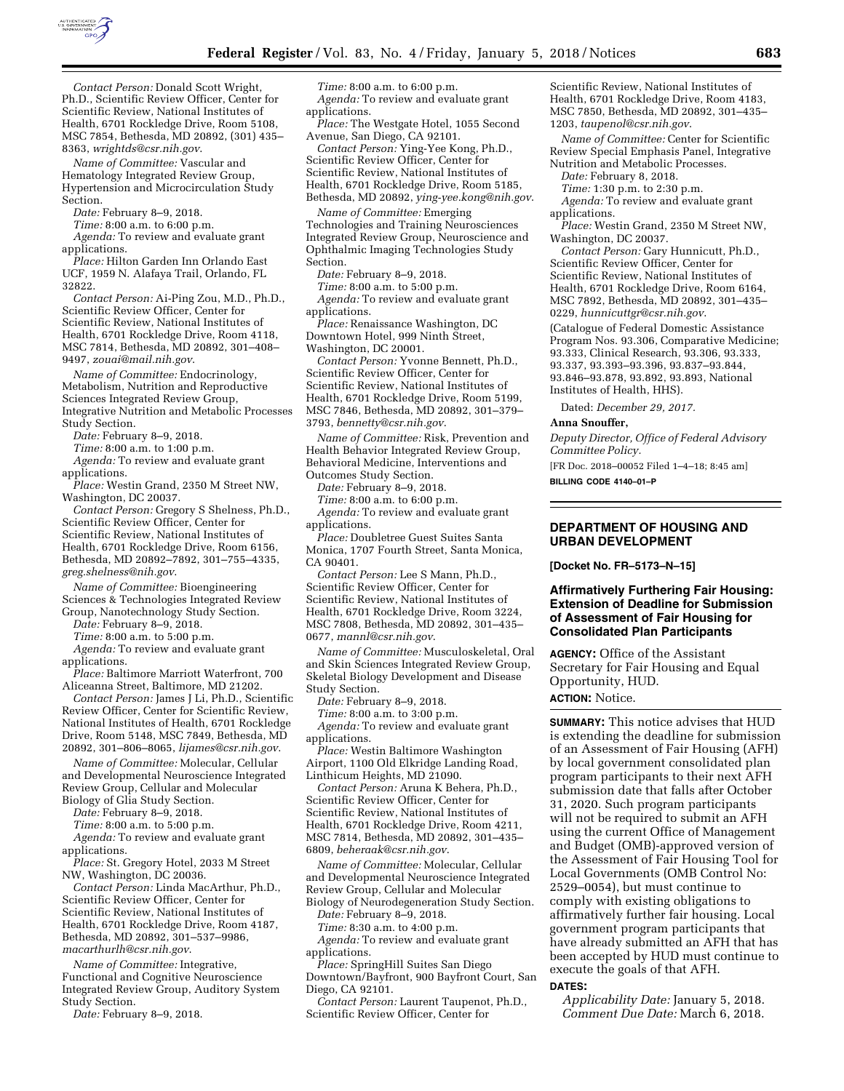

*Contact Person:* Donald Scott Wright, Ph.D., Scientific Review Officer, Center for Scientific Review, National Institutes of Health, 6701 Rockledge Drive, Room 5108, MSC 7854, Bethesda, MD 20892, (301) 435– 8363, *[wrightds@csr.nih.gov](mailto:wrightds@csr.nih.gov)*.

*Name of Committee:* Vascular and Hematology Integrated Review Group, Hypertension and Microcirculation Study Section.

*Date:* February 8–9, 2018.

*Time:* 8:00 a.m. to 6:00 p.m.

*Agenda:* To review and evaluate grant applications.

*Place:* Hilton Garden Inn Orlando East UCF, 1959 N. Alafaya Trail, Orlando, FL 32822.

*Contact Person:* Ai-Ping Zou, M.D., Ph.D., Scientific Review Officer, Center for Scientific Review, National Institutes of Health, 6701 Rockledge Drive, Room 4118, MSC 7814, Bethesda, MD 20892, 301–408– 9497, *[zouai@mail.nih.gov](mailto:zouai@mail.nih.gov)*.

*Name of Committee:* Endocrinology, Metabolism, Nutrition and Reproductive Sciences Integrated Review Group, Integrative Nutrition and Metabolic Processes Study Section.

*Date:* February 8–9, 2018.

*Time:* 8:00 a.m. to 1:00 p.m.

*Agenda:* To review and evaluate grant applications.

*Place:* Westin Grand, 2350 M Street NW, Washington, DC 20037.

*Contact Person:* Gregory S Shelness, Ph.D., Scientific Review Officer, Center for Scientific Review, National Institutes of Health, 6701 Rockledge Drive, Room 6156, Bethesda, MD 20892–7892, 301–755–4335, *[greg.shelness@nih.gov](mailto:greg.shelness@nih.gov)*.

*Name of Committee:* Bioengineering Sciences & Technologies Integrated Review Group, Nanotechnology Study Section.

*Date:* February 8–9, 2018.

*Time:* 8:00 a.m. to 5:00 p.m.

*Agenda:* To review and evaluate grant applications.

*Place:* Baltimore Marriott Waterfront, 700 Aliceanna Street, Baltimore, MD 21202.

*Contact Person:* James J Li, Ph.D., Scientific Review Officer, Center for Scientific Review, National Institutes of Health, 6701 Rockledge Drive, Room 5148, MSC 7849, Bethesda, MD 20892, 301–806–8065, *[lijames@csr.nih.gov](mailto:lijames@csr.nih.gov)*.

*Name of Committee:* Molecular, Cellular and Developmental Neuroscience Integrated Review Group, Cellular and Molecular Biology of Glia Study Section.

*Date:* February 8–9, 2018.

*Time:* 8:00 a.m. to 5:00 p.m.

*Agenda:* To review and evaluate grant applications.

*Place:* St. Gregory Hotel, 2033 M Street NW, Washington, DC 20036.

*Contact Person:* Linda MacArthur, Ph.D., Scientific Review Officer, Center for Scientific Review, National Institutes of Health, 6701 Rockledge Drive, Room 4187, Bethesda, MD 20892, 301–537–9986, *[macarthurlh@csr.nih.gov](mailto:macarthurlh@csr.nih.gov)*.

*Name of Committee:* Integrative, Functional and Cognitive Neuroscience Integrated Review Group, Auditory System Study Section.

*Date:* February 8–9, 2018.

*Time:* 8:00 a.m. to 6:00 p.m. *Agenda:* To review and evaluate grant applications.

*Place:* The Westgate Hotel, 1055 Second Avenue, San Diego, CA 92101.

*Contact Person:* Ying-Yee Kong, Ph.D., Scientific Review Officer, Center for Scientific Review, National Institutes of Health, 6701 Rockledge Drive, Room 5185, Bethesda, MD 20892, *[ying-yee.kong@nih.gov](mailto:ying-yee.kong@nih.gov)*.

*Name of Committee:* Emerging Technologies and Training Neurosciences Integrated Review Group, Neuroscience and Ophthalmic Imaging Technologies Study Section.

*Date:* February 8–9, 2018.

*Time:* 8:00 a.m. to 5:00 p.m. *Agenda:* To review and evaluate grant

applications.

*Place:* Renaissance Washington, DC Downtown Hotel, 999 Ninth Street, Washington, DC 20001.

*Contact Person:* Yvonne Bennett, Ph.D., Scientific Review Officer, Center for Scientific Review, National Institutes of Health, 6701 Rockledge Drive, Room 5199, MSC 7846, Bethesda, MD 20892, 301–379– 3793, *[bennetty@csr.nih.gov](mailto:bennetty@csr.nih.gov)*.

*Name of Committee:* Risk, Prevention and Health Behavior Integrated Review Group, Behavioral Medicine, Interventions and Outcomes Study Section.

*Date:* February 8–9, 2018.

*Time:* 8:00 a.m. to 6:00 p.m. *Agenda:* To review and evaluate grant applications.

*Place:* Doubletree Guest Suites Santa Monica, 1707 Fourth Street, Santa Monica, CA 90401.

*Contact Person:* Lee S Mann, Ph.D., Scientific Review Officer, Center for Scientific Review, National Institutes of Health, 6701 Rockledge Drive, Room 3224, MSC 7808, Bethesda, MD 20892, 301–435– 0677, *[mannl@csr.nih.gov](mailto:mannl@csr.nih.gov)*.

*Name of Committee:* Musculoskeletal, Oral and Skin Sciences Integrated Review Group, Skeletal Biology Development and Disease Study Section.

*Date:* February 8–9, 2018.

*Time:* 8:00 a.m. to 3:00 p.m.

*Agenda:* To review and evaluate grant applications.

*Place:* Westin Baltimore Washington Airport, 1100 Old Elkridge Landing Road, Linthicum Heights, MD 21090.

*Contact Person:* Aruna K Behera, Ph.D., Scientific Review Officer, Center for Scientific Review, National Institutes of Health, 6701 Rockledge Drive, Room 4211, MSC 7814, Bethesda, MD 20892, 301–435– 6809, *[beheraak@csr.nih.gov](mailto:beheraak@csr.nih.gov)*.

*Name of Committee:* Molecular, Cellular and Developmental Neuroscience Integrated Review Group, Cellular and Molecular Biology of Neurodegeneration Study Section.

*Date:* February 8–9, 2018.

*Time:* 8:30 a.m. to 4:00 p.m.

*Agenda:* To review and evaluate grant applications.

*Place:* SpringHill Suites San Diego Downtown/Bayfront, 900 Bayfront Court, San Diego, CA 92101.

*Contact Person:* Laurent Taupenot, Ph.D., Scientific Review Officer, Center for

Scientific Review, National Institutes of Health, 6701 Rockledge Drive, Room 4183, MSC 7850, Bethesda, MD 20892, 301–435– 1203, *[taupenol@csr.nih.gov](mailto:taupenol@csr.nih.gov)*.

*Name of Committee:* Center for Scientific Review Special Emphasis Panel, Integrative Nutrition and Metabolic Processes.

*Date:* February 8, 2018.

*Time:* 1:30 p.m. to 2:30 p.m.

*Agenda:* To review and evaluate grant applications.

*Place:* Westin Grand, 2350 M Street NW, Washington, DC 20037.

*Contact Person:* Gary Hunnicutt, Ph.D., Scientific Review Officer, Center for Scientific Review, National Institutes of Health, 6701 Rockledge Drive, Room 6164, MSC 7892, Bethesda, MD 20892, 301–435– 0229, *[hunnicuttgr@csr.nih.gov](mailto:hunnicuttgr@csr.nih.gov)*.

(Catalogue of Federal Domestic Assistance Program Nos. 93.306, Comparative Medicine; 93.333, Clinical Research, 93.306, 93.333, 93.337, 93.393–93.396, 93.837–93.844, 93.846–93.878, 93.892, 93.893, National Institutes of Health, HHS).

Dated: *December 29, 2017.* 

#### **Anna Snouffer,**

*Deputy Director, Office of Federal Advisory Committee Policy.* 

[FR Doc. 2018–00052 Filed 1–4–18; 8:45 am] **BILLING CODE 4140–01–P** 

### **DEPARTMENT OF HOUSING AND URBAN DEVELOPMENT**

**[Docket No. FR–5173–N–15]** 

# **Affirmatively Furthering Fair Housing: Extension of Deadline for Submission of Assessment of Fair Housing for Consolidated Plan Participants**

**AGENCY:** Office of the Assistant Secretary for Fair Housing and Equal Opportunity, HUD.

# **ACTION:** Notice.

**SUMMARY:** This notice advises that HUD is extending the deadline for submission of an Assessment of Fair Housing (AFH) by local government consolidated plan program participants to their next AFH submission date that falls after October 31, 2020. Such program participants will not be required to submit an AFH using the current Office of Management and Budget (OMB)-approved version of the Assessment of Fair Housing Tool for Local Governments (OMB Control No: 2529–0054), but must continue to comply with existing obligations to affirmatively further fair housing. Local government program participants that have already submitted an AFH that has been accepted by HUD must continue to execute the goals of that AFH.

#### **DATES:**

*Applicability Date:* January 5, 2018. *Comment Due Date:* March 6, 2018.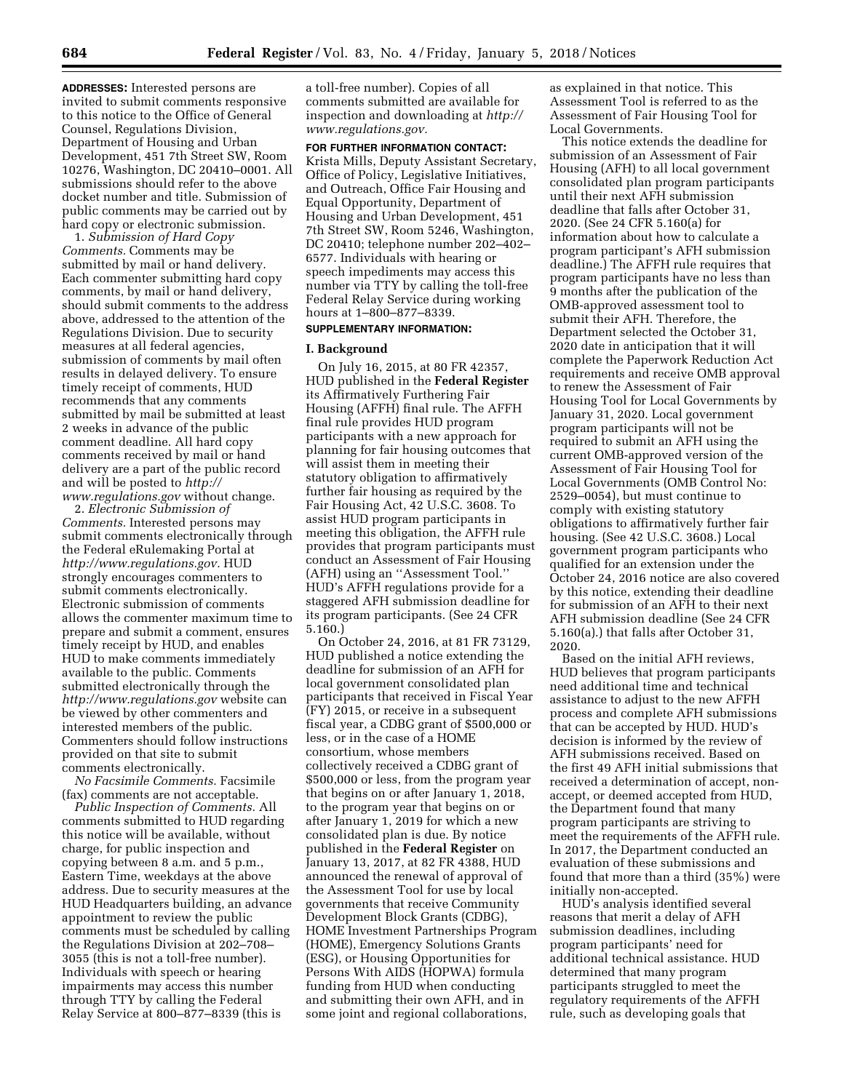**ADDRESSES:** Interested persons are invited to submit comments responsive to this notice to the Office of General Counsel, Regulations Division, Department of Housing and Urban Development, 451 7th Street SW, Room 10276, Washington, DC 20410–0001. All submissions should refer to the above docket number and title. Submission of public comments may be carried out by hard copy or electronic submission.

1. *Submission of Hard Copy Comments.* Comments may be submitted by mail or hand delivery. Each commenter submitting hard copy comments, by mail or hand delivery, should submit comments to the address above, addressed to the attention of the Regulations Division. Due to security measures at all federal agencies, submission of comments by mail often results in delayed delivery. To ensure timely receipt of comments, HUD recommends that any comments submitted by mail be submitted at least 2 weeks in advance of the public comment deadline. All hard copy comments received by mail or hand delivery are a part of the public record and will be posted to *[http://](http://www.regulations.gov) [www.regulations.gov](http://www.regulations.gov)* without change.

2. *Electronic Submission of Comments.* Interested persons may submit comments electronically through the Federal eRulemaking Portal at *[http://www.regulations.gov.](http://www.regulations.gov)* HUD strongly encourages commenters to submit comments electronically. Electronic submission of comments allows the commenter maximum time to prepare and submit a comment, ensures timely receipt by HUD, and enables HUD to make comments immediately available to the public. Comments submitted electronically through the *<http://www.regulations.gov>* website can be viewed by other commenters and interested members of the public. Commenters should follow instructions provided on that site to submit comments electronically.

*No Facsimile Comments.* Facsimile (fax) comments are not acceptable.

*Public Inspection of Comments.* All comments submitted to HUD regarding this notice will be available, without charge, for public inspection and copying between 8 a.m. and 5 p.m., Eastern Time, weekdays at the above address. Due to security measures at the HUD Headquarters building, an advance appointment to review the public comments must be scheduled by calling the Regulations Division at 202–708– 3055 (this is not a toll-free number). Individuals with speech or hearing impairments may access this number through TTY by calling the Federal Relay Service at 800–877–8339 (this is

a toll-free number). Copies of all comments submitted are available for inspection and downloading at *[http://](http://www.regulations.gov) [www.regulations.gov.](http://www.regulations.gov)* 

**FOR FURTHER INFORMATION CONTACT:**  Krista Mills, Deputy Assistant Secretary, Office of Policy, Legislative Initiatives, and Outreach, Office Fair Housing and Equal Opportunity, Department of Housing and Urban Development, 451 7th Street SW, Room 5246, Washington, DC 20410; telephone number 202–402– 6577. Individuals with hearing or speech impediments may access this number via TTY by calling the toll-free Federal Relay Service during working hours at 1–800–877–8339.

# **SUPPLEMENTARY INFORMATION:**

### **I. Background**

On July 16, 2015, at 80 FR 42357, HUD published in the **Federal Register**  its Affirmatively Furthering Fair Housing (AFFH) final rule. The AFFH final rule provides HUD program participants with a new approach for planning for fair housing outcomes that will assist them in meeting their statutory obligation to affirmatively further fair housing as required by the Fair Housing Act, 42 U.S.C. 3608. To assist HUD program participants in meeting this obligation, the AFFH rule provides that program participants must conduct an Assessment of Fair Housing (AFH) using an ''Assessment Tool.'' HUD's AFFH regulations provide for a staggered AFH submission deadline for its program participants. (See 24 CFR 5.160.)

On October 24, 2016, at 81 FR 73129, HUD published a notice extending the deadline for submission of an AFH for local government consolidated plan participants that received in Fiscal Year (FY) 2015, or receive in a subsequent fiscal year, a CDBG grant of \$500,000 or less, or in the case of a HOME consortium, whose members collectively received a CDBG grant of \$500,000 or less, from the program year that begins on or after January 1, 2018, to the program year that begins on or after January 1, 2019 for which a new consolidated plan is due. By notice published in the **Federal Register** on January 13, 2017, at 82 FR 4388, HUD announced the renewal of approval of the Assessment Tool for use by local governments that receive Community Development Block Grants (CDBG), HOME Investment Partnerships Program (HOME), Emergency Solutions Grants (ESG), or Housing Opportunities for Persons With AIDS (HOPWA) formula funding from HUD when conducting and submitting their own AFH, and in some joint and regional collaborations,

as explained in that notice. This Assessment Tool is referred to as the Assessment of Fair Housing Tool for Local Governments.

This notice extends the deadline for submission of an Assessment of Fair Housing (AFH) to all local government consolidated plan program participants until their next AFH submission deadline that falls after October 31, 2020. (See 24 CFR 5.160(a) for information about how to calculate a program participant's AFH submission deadline.) The AFFH rule requires that program participants have no less than 9 months after the publication of the OMB-approved assessment tool to submit their AFH. Therefore, the Department selected the October 31, 2020 date in anticipation that it will complete the Paperwork Reduction Act requirements and receive OMB approval to renew the Assessment of Fair Housing Tool for Local Governments by January 31, 2020. Local government program participants will not be required to submit an AFH using the current OMB-approved version of the Assessment of Fair Housing Tool for Local Governments (OMB Control No: 2529–0054), but must continue to comply with existing statutory obligations to affirmatively further fair housing. (See 42 U.S.C. 3608.) Local government program participants who qualified for an extension under the October 24, 2016 notice are also covered by this notice, extending their deadline for submission of an AFH to their next AFH submission deadline (See 24 CFR 5.160(a).) that falls after October 31, 2020.

Based on the initial AFH reviews, HUD believes that program participants need additional time and technical assistance to adjust to the new AFFH process and complete AFH submissions that can be accepted by HUD. HUD's decision is informed by the review of AFH submissions received. Based on the first 49 AFH initial submissions that received a determination of accept, nonaccept, or deemed accepted from HUD, the Department found that many program participants are striving to meet the requirements of the AFFH rule. In 2017, the Department conducted an evaluation of these submissions and found that more than a third (35%) were initially non-accepted.

HUD's analysis identified several reasons that merit a delay of AFH submission deadlines, including program participants' need for additional technical assistance. HUD determined that many program participants struggled to meet the regulatory requirements of the AFFH rule, such as developing goals that